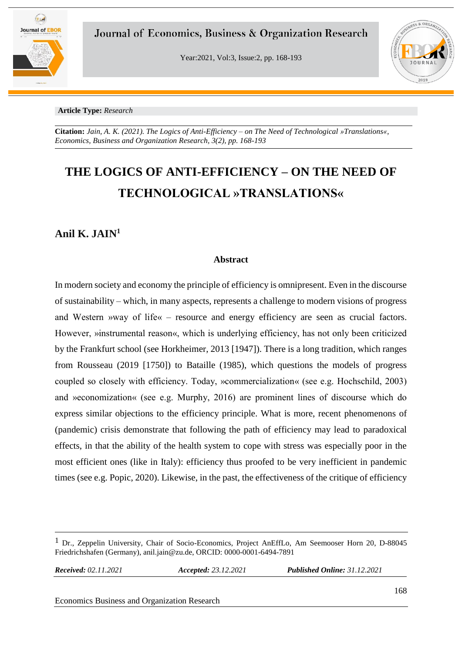

Year:2021, Vol:3, Issue:2, pp. 168-193



#### **Article Type:** *Research*

**Citation:** *Jain, A. K. (2021). The Logics of Anti-Efficiency – on The Need of Technological »Translations«, Economics, Business and Organization Research, 3(2), pp. 168-193*

# **THE LOGICS OF ANTI-EFFICIENCY – ON THE NEED OF TECHNOLOGICAL »TRANSLATIONS«**

### **Anil K. JAIN<sup>1</sup>**

### **Abstract**

In modern society and economy the principle of efficiency is omnipresent. Even in the discourse of sustainability – which, in many aspects, represents a challenge to modern visions of progress and Western »way of life« – resource and energy efficiency are seen as crucial factors. However, »instrumental reason«, which is underlying efficiency, has not only been criticized by the Frankfurt school (see Horkheimer, 2013 [1947]). There is a long tradition, which ranges from Rousseau (2019 [1750]) to Bataille (1985), which questions the models of progress coupled so closely with efficiency. Today, »commercialization« (see e.g. Hochschild, 2003) and »economization« (see e.g. Murphy, 2016) are prominent lines of discourse which do express similar objections to the efficiency principle. What is more, recent phenomenons of (pandemic) crisis demonstrate that following the path of efficiency may lead to paradoxical effects, in that the ability of the health system to cope with stress was especially poor in the most efficient ones (like in Italy): efficiency thus proofed to be very inefficient in pandemic times (see e.g. Popic, 2020). Likewise, in the past, the effectiveness of the critique of efficiency

*Received: 02.11.2021 Accepted: 23.12.2021 Published Online: 31.12.2021*

 $<sup>1</sup>$  Dr., Zeppelin University, Chair of Socio-Economics, Project AnEffLo, Am Seemooser Horn 20, D-88045</sup> Friedrichshafen (Germany), anil.jain@zu.de, ORCID: 0000-0001-6494-7891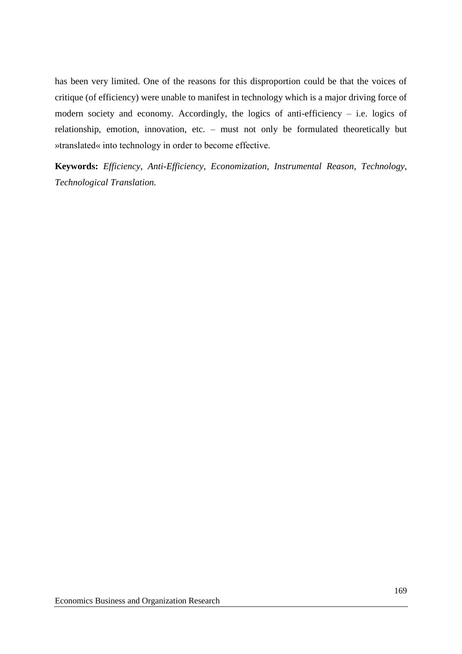has been very limited. One of the reasons for this disproportion could be that the voices of critique (of efficiency) were unable to manifest in technology which is a major driving force of modern society and economy. Accordingly, the logics of anti-efficiency – i.e. logics of relationship, emotion, innovation, etc. – must not only be formulated theoretically but »translated« into technology in order to become effective.

**Keywords:** *Efficiency, Anti-Efficiency, Economization, Instrumental Reason, Technology, Technological Translation.*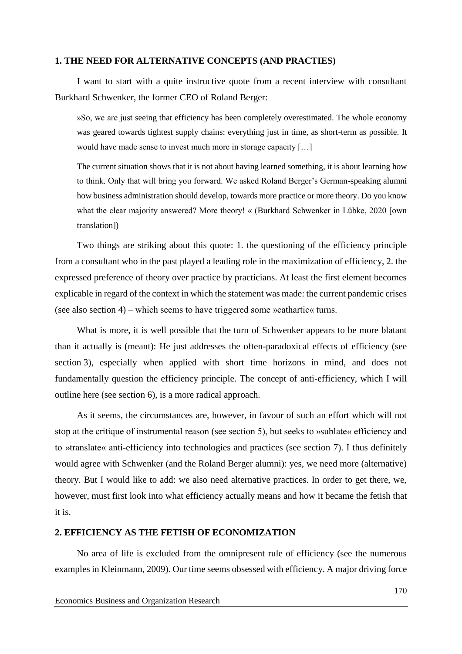### **1. THE NEED FOR ALTERNATIVE CONCEPTS (AND PRACTIES)**

I want to start with a quite instructive quote from a recent interview with consultant Burkhard Schwenker, the former CEO of Roland Berger:

»So, we are just seeing that efficiency has been completely overestimated. The whole economy was geared towards tightest supply chains: everything just in time, as short-term as possible. It would have made sense to invest much more in storage capacity […]

The current situation shows that it is not about having learned something, it is about learning how to think. Only that will bring you forward. We asked Roland Berger's German-speaking alumni how business administration should develop, towards more practice or more theory. Do you know what the clear majority answered? More theory! « (Burkhard Schwenker in Lübke, 2020 [own translation])

Two things are striking about this quote: 1. the questioning of the efficiency principle from a consultant who in the past played a leading role in the maximization of efficiency, 2. the expressed preference of theory over practice by practicians. At least the first element becomes explicable in regard of the context in which the statement was made: the current pandemic crises (see also section 4) – which seems to have triggered some »cathartic« turns.

What is more, it is well possible that the turn of Schwenker appears to be more blatant than it actually is (meant): He just addresses the often-paradoxical effects of efficiency (see section 3), especially when applied with short time horizons in mind, and does not fundamentally question the efficiency principle. The concept of anti-efficiency, which I will outline here (see section 6), is a more radical approach.

As it seems, the circumstances are, however, in favour of such an effort which will not stop at the critique of instrumental reason (see section 5), but seeks to »sublate« efficiency and to »translate« anti-efficiency into technologies and practices (see section 7). I thus definitely would agree with Schwenker (and the Roland Berger alumni): yes, we need more (alternative) theory. But I would like to add: we also need alternative practices. In order to get there, we, however, must first look into what efficiency actually means and how it became the fetish that it is.

### **2. EFFICIENCY AS THE FETISH OF ECONOMIZATION**

No area of life is excluded from the omnipresent rule of efficiency (see the numerous examples in Kleinmann, 2009). Our time seems obsessed with efficiency. A major driving force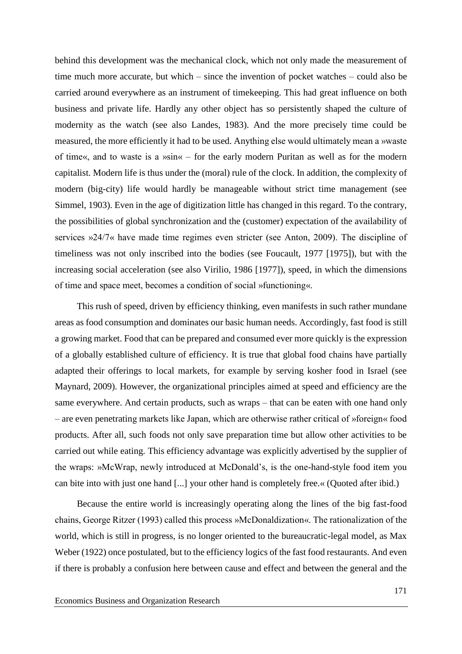behind this development was the mechanical clock, which not only made the measurement of time much more accurate, but which – since the invention of pocket watches – could also be carried around everywhere as an instrument of timekeeping. This had great influence on both business and private life. Hardly any other object has so persistently shaped the culture of modernity as the watch (see also Landes, 1983). And the more precisely time could be measured, the more efficiently it had to be used. Anything else would ultimately mean a »waste of time«, and to waste is a »sin« – for the early modern Puritan as well as for the modern capitalist. Modern life is thus under the (moral) rule of the clock. In addition, the complexity of modern (big-city) life would hardly be manageable without strict time management (see Simmel, 1903). Even in the age of digitization little has changed in this regard. To the contrary, the possibilities of global synchronization and the (customer) expectation of the availability of services »24/7« have made time regimes even stricter (see Anton, 2009). The discipline of timeliness was not only inscribed into the bodies (see Foucault, 1977 [1975]), but with the increasing social acceleration (see also Virilio, 1986 [1977]), speed, in which the dimensions of time and space meet, becomes a condition of social »functioning«.

This rush of speed, driven by efficiency thinking, even manifests in such rather mundane areas as food consumption and dominates our basic human needs. Accordingly, fast food is still a growing market. Food that can be prepared and consumed ever more quickly is the expression of a globally established culture of efficiency. It is true that global food chains have partially adapted their offerings to local markets, for example by serving kosher food in Israel (see Maynard, 2009). However, the organizational principles aimed at speed and efficiency are the same everywhere. And certain products, such as wraps – that can be eaten with one hand only – are even penetrating markets like Japan, which are otherwise rather critical of »foreign« food products. After all, such foods not only save preparation time but allow other activities to be carried out while eating. This efficiency advantage was explicitly advertised by the supplier of the wraps: »McWrap, newly introduced at McDonald's, is the one-hand-style food item you can bite into with just one hand [...] your other hand is completely free.« (Quoted after ibid.)

Because the entire world is increasingly operating along the lines of the big fast-food chains, George Ritzer (1993) called this process »McDonaldization«. The rationalization of the world, which is still in progress, is no longer oriented to the bureaucratic-legal model, as Max Weber (1922) once postulated, but to the efficiency logics of the fast food restaurants. And even if there is probably a confusion here between cause and effect and between the general and the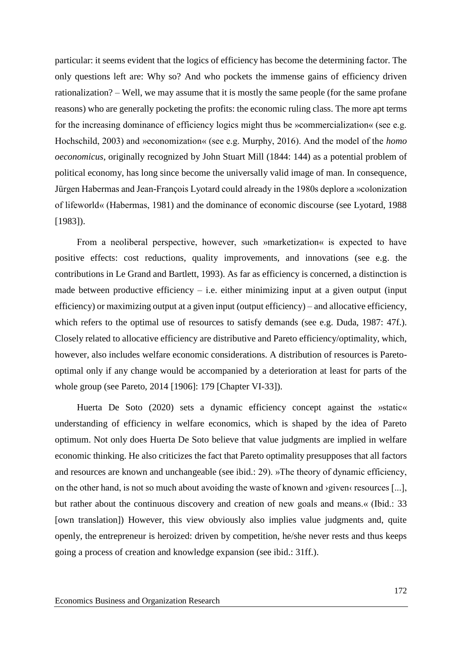particular: it seems evident that the logics of efficiency has become the determining factor. The only questions left are: Why so? And who pockets the immense gains of efficiency driven rationalization? – Well, we may assume that it is mostly the same people (for the same profane reasons) who are generally pocketing the profits: the economic ruling class. The more apt terms for the increasing dominance of efficiency logics might thus be »commercialization« (see e.g. Hochschild, 2003) and »economization« (see e.g. Murphy, 2016). And the model of the *homo oeconomicus*, originally recognized by John Stuart Mill (1844: 144) as a potential problem of political economy, has long since become the universally valid image of man. In consequence, Jürgen Habermas and Jean-François Lyotard could already in the 1980s deplore a »colonization of lifeworld« (Habermas, 1981) and the dominance of economic discourse (see Lyotard, 1988 [1983]).

From a neoliberal perspective, however, such »marketization« is expected to have positive effects: cost reductions, quality improvements, and innovations (see e.g. the contributions in Le Grand and Bartlett, 1993). As far as efficiency is concerned, a distinction is made between productive efficiency  $-$  i.e. either minimizing input at a given output (input efficiency) or maximizing output at a given input (output efficiency) – and allocative efficiency, which refers to the optimal use of resources to satisfy demands (see e.g. Duda, 1987: 47f.). Closely related to allocative efficiency are distributive and Pareto efficiency/optimality, which, however, also includes welfare economic considerations. A distribution of resources is Paretooptimal only if any change would be accompanied by a deterioration at least for parts of the whole group (see Pareto, 2014 [1906]: 179 [Chapter VI-33]).

Huerta De Soto (2020) sets a dynamic efficiency concept against the »static« understanding of efficiency in welfare economics, which is shaped by the idea of Pareto optimum. Not only does Huerta De Soto believe that value judgments are implied in welfare economic thinking. He also criticizes the fact that Pareto optimality presupposes that all factors and resources are known and unchangeable (see ibid.: 29). »The theory of dynamic efficiency, on the other hand, is not so much about avoiding the waste of known and ›given‹ resources [...], but rather about the continuous discovery and creation of new goals and means.« (Ibid.: 33 [own translation]) However, this view obviously also implies value judgments and, quite openly, the entrepreneur is heroized: driven by competition, he/she never rests and thus keeps going a process of creation and knowledge expansion (see ibid.: 31ff.).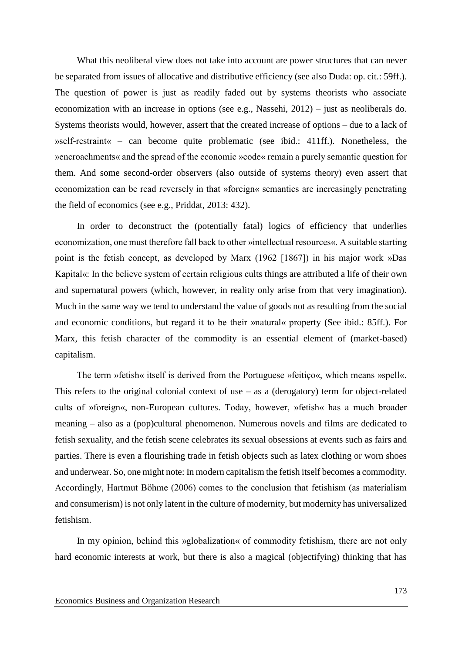What this neoliberal view does not take into account are power structures that can never be separated from issues of allocative and distributive efficiency (see also Duda: op. cit.: 59ff.). The question of power is just as readily faded out by systems theorists who associate economization with an increase in options (see e.g., Nassehi, 2012) – just as neoliberals do. Systems theorists would, however, assert that the created increase of options – due to a lack of »self-restraint« – can become quite problematic (see ibid.: 411ff.). Nonetheless, the »encroachments« and the spread of the economic »code« remain a purely semantic question for them. And some second-order observers (also outside of systems theory) even assert that economization can be read reversely in that »foreign« semantics are increasingly penetrating the field of economics (see e.g., Priddat, 2013: 432).

In order to deconstruct the (potentially fatal) logics of efficiency that underlies economization, one must therefore fall back to other »intellectual resources«. A suitable starting point is the fetish concept, as developed by Marx (1962 [1867]) in his major work »Das Kapital«: In the believe system of certain religious cults things are attributed a life of their own and supernatural powers (which, however, in reality only arise from that very imagination). Much in the same way we tend to understand the value of goods not as resulting from the social and economic conditions, but regard it to be their »natural« property (See ibid.: 85ff.). For Marx, this fetish character of the commodity is an essential element of (market-based) capitalism.

The term »fetish« itself is derived from the Portuguese »feitiço«, which means »spell«. This refers to the original colonial context of use  $-$  as a (derogatory) term for object-related cults of »foreign«, non-European cultures. Today, however, »fetish« has a much broader meaning – also as a (pop)cultural phenomenon. Numerous novels and films are dedicated to fetish sexuality, and the fetish scene celebrates its sexual obsessions at events such as fairs and parties. There is even a flourishing trade in fetish objects such as latex clothing or worn shoes and underwear. So, one might note: In modern capitalism the fetish itself becomes a commodity. Accordingly, Hartmut Böhme (2006) comes to the conclusion that fetishism (as materialism and consumerism) is not only latent in the culture of modernity, but modernity has universalized fetishism.

In my opinion, behind this »globalization« of commodity fetishism, there are not only hard economic interests at work, but there is also a magical (objectifying) thinking that has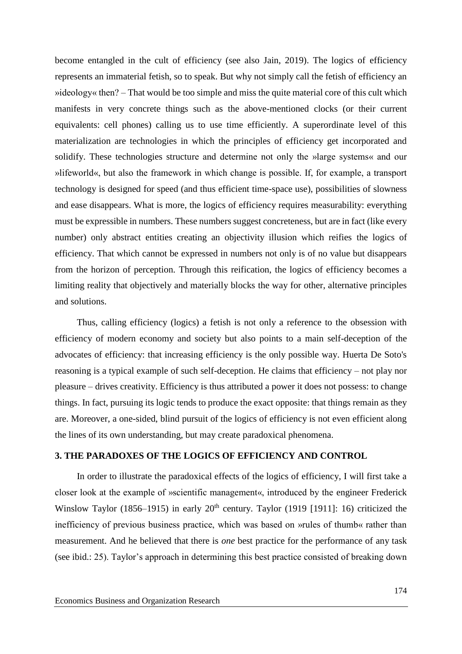become entangled in the cult of efficiency (see also Jain, 2019). The logics of efficiency represents an immaterial fetish, so to speak. But why not simply call the fetish of efficiency an »ideology« then? – That would be too simple and miss the quite material core of this cult which manifests in very concrete things such as the above-mentioned clocks (or their current equivalents: cell phones) calling us to use time efficiently. A superordinate level of this materialization are technologies in which the principles of efficiency get incorporated and solidify. These technologies structure and determine not only the »large systems« and our »lifeworld«, but also the framework in which change is possible. If, for example, a transport technology is designed for speed (and thus efficient time-space use), possibilities of slowness and ease disappears. What is more, the logics of efficiency requires measurability: everything must be expressible in numbers. These numbers suggest concreteness, but are in fact (like every number) only abstract entities creating an objectivity illusion which reifies the logics of efficiency. That which cannot be expressed in numbers not only is of no value but disappears from the horizon of perception. Through this reification, the logics of efficiency becomes a limiting reality that objectively and materially blocks the way for other, alternative principles and solutions.

Thus, calling efficiency (logics) a fetish is not only a reference to the obsession with efficiency of modern economy and society but also points to a main self-deception of the advocates of efficiency: that increasing efficiency is the only possible way. Huerta De Soto's reasoning is a typical example of such self-deception. He claims that efficiency – not play nor pleasure – drives creativity. Efficiency is thus attributed a power it does not possess: to change things. In fact, pursuing its logic tends to produce the exact opposite: that things remain as they are. Moreover, a one-sided, blind pursuit of the logics of efficiency is not even efficient along the lines of its own understanding, but may create paradoxical phenomena.

### **3. THE PARADOXES OF THE LOGICS OF EFFICIENCY AND CONTROL**

In order to illustrate the paradoxical effects of the logics of efficiency, I will first take a closer look at the example of »scientific management«, introduced by the engineer Frederick Winslow Taylor (1856–1915) in early  $20<sup>th</sup>$  century. Taylor (1919 [1911]: 16) criticized the inefficiency of previous business practice, which was based on »rules of thumb« rather than measurement. And he believed that there is *one* best practice for the performance of any task (see ibid.: 25). Taylor's approach in determining this best practice consisted of breaking down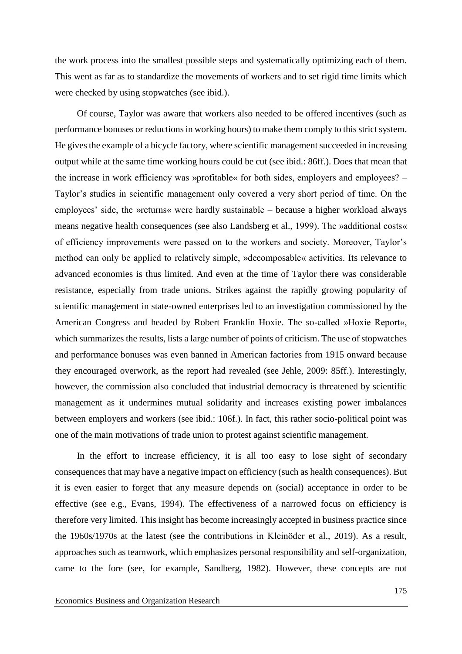the work process into the smallest possible steps and systematically optimizing each of them. This went as far as to standardize the movements of workers and to set rigid time limits which were checked by using stopwatches (see ibid.).

Of course, Taylor was aware that workers also needed to be offered incentives (such as performance bonuses or reductions in working hours) to make them comply to this strict system. He gives the example of a bicycle factory, where scientific management succeeded in increasing output while at the same time working hours could be cut (see ibid.: 86ff.). Does that mean that the increase in work efficiency was »profitable« for both sides, employers and employees? – Taylor's studies in scientific management only covered a very short period of time. On the employees' side, the »returns« were hardly sustainable – because a higher workload always means negative health consequences (see also Landsberg et al., 1999). The »additional costs« of efficiency improvements were passed on to the workers and society. Moreover, Taylor's method can only be applied to relatively simple, »decomposable« activities. Its relevance to advanced economies is thus limited. And even at the time of Taylor there was considerable resistance, especially from trade unions. Strikes against the rapidly growing popularity of scientific management in state-owned enterprises led to an investigation commissioned by the American Congress and headed by Robert Franklin Hoxie. The so-called »Hoxie Report«, which summarizes the results, lists a large number of points of criticism. The use of stopwatches and performance bonuses was even banned in American factories from 1915 onward because they encouraged overwork, as the report had revealed (see Jehle, 2009: 85ff.). Interestingly, however, the commission also concluded that industrial democracy is threatened by scientific management as it undermines mutual solidarity and increases existing power imbalances between employers and workers (see ibid.: 106f.). In fact, this rather socio-political point was one of the main motivations of trade union to protest against scientific management.

In the effort to increase efficiency, it is all too easy to lose sight of secondary consequences that may have a negative impact on efficiency (such as health consequences). But it is even easier to forget that any measure depends on (social) acceptance in order to be effective (see e.g., Evans, 1994). The effectiveness of a narrowed focus on efficiency is therefore very limited. This insight has become increasingly accepted in business practice since the 1960s/1970s at the latest (see the contributions in Kleinöder et al., 2019). As a result, approaches such as teamwork, which emphasizes personal responsibility and self-organization, came to the fore (see, for example, Sandberg, 1982). However, these concepts are not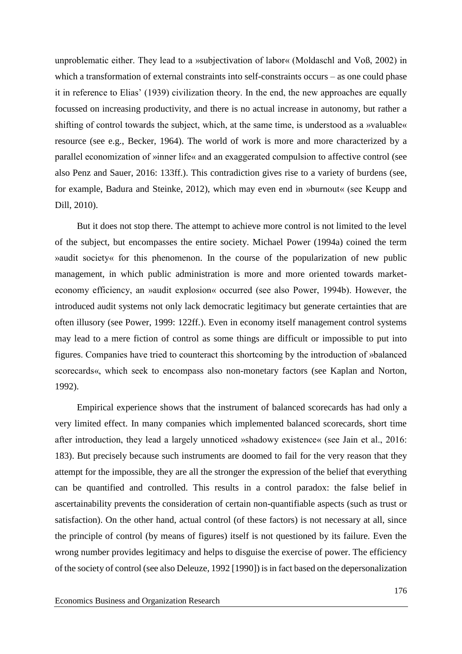unproblematic either. They lead to a »subjectivation of labor« (Moldaschl and Voß, 2002) in which a transformation of external constraints into self-constraints occurs – as one could phase it in reference to Elias' (1939) civilization theory. In the end, the new approaches are equally focussed on increasing productivity, and there is no actual increase in autonomy, but rather a shifting of control towards the subject, which, at the same time, is understood as a »valuable« resource (see e.g., Becker, 1964). The world of work is more and more characterized by a parallel economization of »inner life« and an exaggerated compulsion to affective control (see also Penz and Sauer, 2016: 133ff.). This contradiction gives rise to a variety of burdens (see, for example, Badura and Steinke, 2012), which may even end in »burnout« (see Keupp and Dill, 2010).

But it does not stop there. The attempt to achieve more control is not limited to the level of the subject, but encompasses the entire society. Michael Power (1994a) coined the term »audit society« for this phenomenon. In the course of the popularization of new public management, in which public administration is more and more oriented towards marketeconomy efficiency, an »audit explosion« occurred (see also Power, 1994b). However, the introduced audit systems not only lack democratic legitimacy but generate certainties that are often illusory (see Power, 1999: 122ff.). Even in economy itself management control systems may lead to a mere fiction of control as some things are difficult or impossible to put into figures. Companies have tried to counteract this shortcoming by the introduction of »balanced scorecards«, which seek to encompass also non-monetary factors (see Kaplan and Norton, 1992).

Empirical experience shows that the instrument of balanced scorecards has had only a very limited effect. In many companies which implemented balanced scorecards, short time after introduction, they lead a largely unnoticed »shadowy existence« (see Jain et al., 2016: 183). But precisely because such instruments are doomed to fail for the very reason that they attempt for the impossible, they are all the stronger the expression of the belief that everything can be quantified and controlled. This results in a control paradox: the false belief in ascertainability prevents the consideration of certain non-quantifiable aspects (such as trust or satisfaction). On the other hand, actual control (of these factors) is not necessary at all, since the principle of control (by means of figures) itself is not questioned by its failure. Even the wrong number provides legitimacy and helps to disguise the exercise of power. The efficiency of the society of control (see also Deleuze, 1992 [1990]) is in fact based on the depersonalization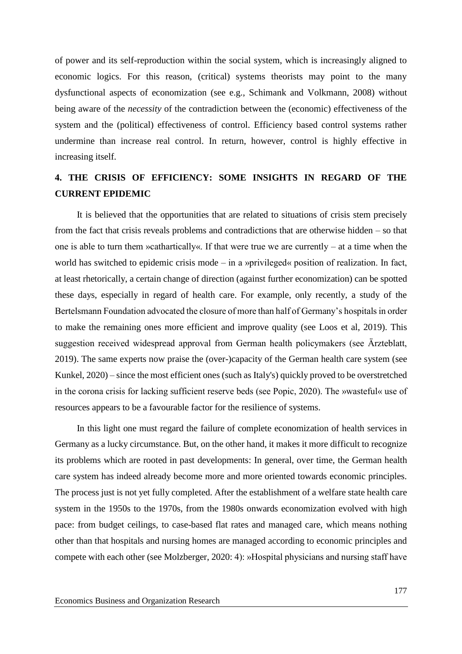of power and its self-reproduction within the social system, which is increasingly aligned to economic logics. For this reason, (critical) systems theorists may point to the many dysfunctional aspects of economization (see e.g., Schimank and Volkmann, 2008) without being aware of the *necessity* of the contradiction between the (economic) effectiveness of the system and the (political) effectiveness of control. Efficiency based control systems rather undermine than increase real control. In return, however, control is highly effective in increasing itself.

### **4. THE CRISIS OF EFFICIENCY: SOME INSIGHTS IN REGARD OF THE CURRENT EPIDEMIC**

It is believed that the opportunities that are related to situations of crisis stem precisely from the fact that crisis reveals problems and contradictions that are otherwise hidden – so that one is able to turn them »cathartically«. If that were true we are currently – at a time when the world has switched to epidemic crisis mode – in a »privileged« position of realization. In fact, at least rhetorically, a certain change of direction (against further economization) can be spotted these days, especially in regard of health care. For example, only recently, a study of the Bertelsmann Foundation advocated the closure of more than half of Germany's hospitals in order to make the remaining ones more efficient and improve quality (see Loos et al, 2019). This suggestion received widespread approval from German health policymakers (see Ärzteblatt, 2019). The same experts now praise the (over-)capacity of the German health care system (see Kunkel, 2020) – since the most efficient ones (such as Italy's) quickly proved to be overstretched in the corona crisis for lacking sufficient reserve beds (see Popic, 2020). The »wasteful« use of resources appears to be a favourable factor for the resilience of systems.

In this light one must regard the failure of complete economization of health services in Germany as a lucky circumstance. But, on the other hand, it makes it more difficult to recognize its problems which are rooted in past developments: In general, over time, the German health care system has indeed already become more and more oriented towards economic principles. The process just is not yet fully completed. After the establishment of a welfare state health care system in the 1950s to the 1970s, from the 1980s onwards economization evolved with high pace: from budget ceilings, to case-based flat rates and managed care, which means nothing other than that hospitals and nursing homes are managed according to economic principles and compete with each other (see Molzberger, 2020: 4): »Hospital physicians and nursing staff have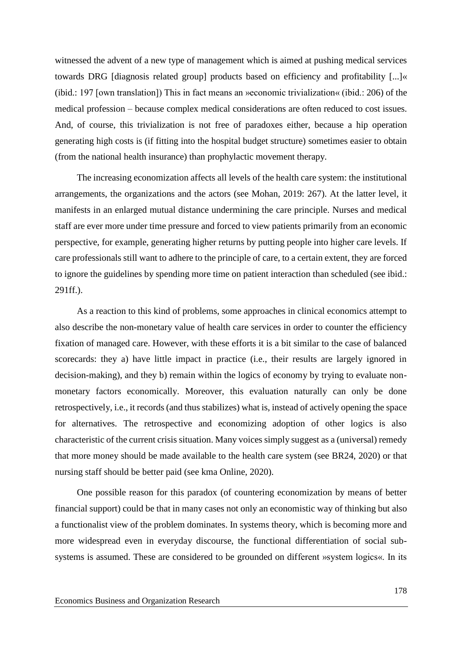witnessed the advent of a new type of management which is aimed at pushing medical services towards DRG [diagnosis related group] products based on efficiency and profitability [...]« (ibid.: 197 [own translation]) This in fact means an »economic trivialization« (ibid.: 206) of the medical profession – because complex medical considerations are often reduced to cost issues. And, of course, this trivialization is not free of paradoxes either, because a hip operation generating high costs is (if fitting into the hospital budget structure) sometimes easier to obtain (from the national health insurance) than prophylactic movement therapy.

The increasing economization affects all levels of the health care system: the institutional arrangements, the organizations and the actors (see Mohan, 2019: 267). At the latter level, it manifests in an enlarged mutual distance undermining the care principle. Nurses and medical staff are ever more under time pressure and forced to view patients primarily from an economic perspective, for example, generating higher returns by putting people into higher care levels. If care professionals still want to adhere to the principle of care, to a certain extent, they are forced to ignore the guidelines by spending more time on patient interaction than scheduled (see ibid.: 291ff.).

As a reaction to this kind of problems, some approaches in clinical economics attempt to also describe the non-monetary value of health care services in order to counter the efficiency fixation of managed care. However, with these efforts it is a bit similar to the case of balanced scorecards: they a) have little impact in practice (i.e., their results are largely ignored in decision-making), and they b) remain within the logics of economy by trying to evaluate nonmonetary factors economically. Moreover, this evaluation naturally can only be done retrospectively, i.e., it records (and thus stabilizes) what is, instead of actively opening the space for alternatives. The retrospective and economizing adoption of other logics is also characteristic of the current crisis situation. Many voices simply suggest as a (universal) remedy that more money should be made available to the health care system (see BR24, 2020) or that nursing staff should be better paid (see kma Online, 2020).

One possible reason for this paradox (of countering economization by means of better financial support) could be that in many cases not only an economistic way of thinking but also a functionalist view of the problem dominates. In systems theory, which is becoming more and more widespread even in everyday discourse, the functional differentiation of social subsystems is assumed. These are considered to be grounded on different »system logics«. In its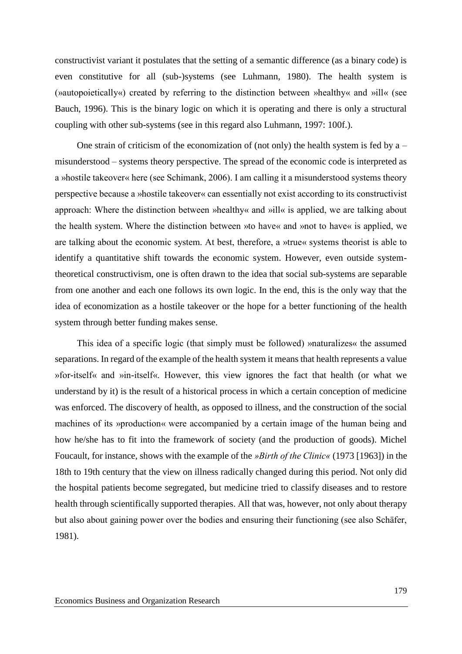constructivist variant it postulates that the setting of a semantic difference (as a binary code) is even constitutive for all (sub-)systems (see Luhmann, 1980). The health system is (»autopoietically«) created by referring to the distinction between »healthy« and »ill« (see Bauch, 1996). This is the binary logic on which it is operating and there is only a structural coupling with other sub-systems (see in this regard also Luhmann, 1997: 100f.).

One strain of criticism of the economization of (not only) the health system is fed by  $a$ misunderstood – systems theory perspective. The spread of the economic code is interpreted as a »hostile takeover« here (see Schimank, 2006). I am calling it a misunderstood systems theory perspective because a »hostile takeover« can essentially not exist according to its constructivist approach: Where the distinction between »healthy« and »ill« is applied, we are talking about the health system. Where the distinction between »to have« and »not to have« is applied, we are talking about the economic system. At best, therefore, a »true« systems theorist is able to identify a quantitative shift towards the economic system. However, even outside systemtheoretical constructivism, one is often drawn to the idea that social sub-systems are separable from one another and each one follows its own logic. In the end, this is the only way that the idea of economization as a hostile takeover or the hope for a better functioning of the health system through better funding makes sense.

This idea of a specific logic (that simply must be followed) »naturalizes« the assumed separations. In regard of the example of the health system it means that health represents a value »for-itself« and »in-itself«. However, this view ignores the fact that health (or what we understand by it) is the result of a historical process in which a certain conception of medicine was enforced. The discovery of health, as opposed to illness, and the construction of the social machines of its »production« were accompanied by a certain image of the human being and how he/she has to fit into the framework of society (and the production of goods). Michel Foucault, for instance, shows with the example of the *»Birth of the Clinic«* (1973 [1963]) in the 18th to 19th century that the view on illness radically changed during this period. Not only did the hospital patients become segregated, but medicine tried to classify diseases and to restore health through scientifically supported therapies. All that was, however, not only about therapy but also about gaining power over the bodies and ensuring their functioning (see also Schäfer, 1981).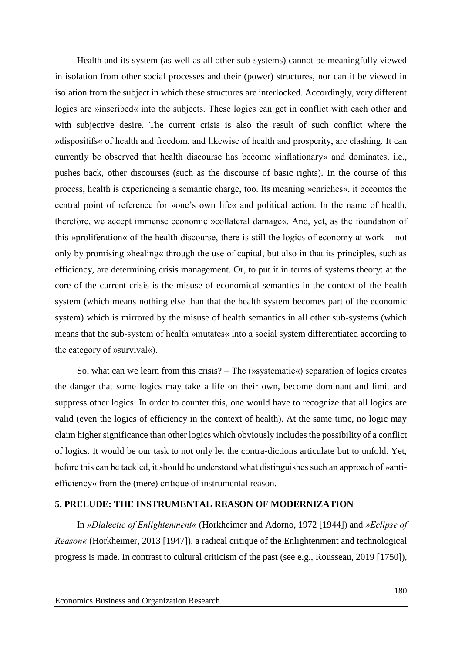Health and its system (as well as all other sub-systems) cannot be meaningfully viewed in isolation from other social processes and their (power) structures, nor can it be viewed in isolation from the subject in which these structures are interlocked. Accordingly, very different logics are »inscribed« into the subjects. These logics can get in conflict with each other and with subjective desire. The current crisis is also the result of such conflict where the »dispositifs« of health and freedom, and likewise of health and prosperity, are clashing. It can currently be observed that health discourse has become »inflationary« and dominates, i.e., pushes back, other discourses (such as the discourse of basic rights). In the course of this process, health is experiencing a semantic charge, too. Its meaning »enriches«, it becomes the central point of reference for »one's own life« and political action. In the name of health, therefore, we accept immense economic »collateral damage«. And, yet, as the foundation of this »proliferation« of the health discourse, there is still the logics of economy at work – not only by promising »healing« through the use of capital, but also in that its principles, such as efficiency, are determining crisis management. Or, to put it in terms of systems theory: at the core of the current crisis is the misuse of economical semantics in the context of the health system (which means nothing else than that the health system becomes part of the economic system) which is mirrored by the misuse of health semantics in all other sub-systems (which means that the sub-system of health »mutates« into a social system differentiated according to the category of »survival«).

So, what can we learn from this crisis? – The (»systematic«) separation of logics creates the danger that some logics may take a life on their own, become dominant and limit and suppress other logics. In order to counter this, one would have to recognize that all logics are valid (even the logics of efficiency in the context of health). At the same time, no logic may claim higher significance than other logics which obviously includes the possibility of a conflict of logics. It would be our task to not only let the contra-dictions articulate but to unfold. Yet, before this can be tackled, it should be understood what distinguishes such an approach of »antiefficiency« from the (mere) critique of instrumental reason.

### **5. PRELUDE: THE INSTRUMENTAL REASON OF MODERNIZATION**

In *»Dialectic of Enlightenment«* (Horkheimer and Adorno, 1972 [1944]) and *»Eclipse of Reason«* (Horkheimer, 2013 [1947]), a radical critique of the Enlightenment and technological progress is made. In contrast to cultural criticism of the past (see e.g., Rousseau, 2019 [1750]),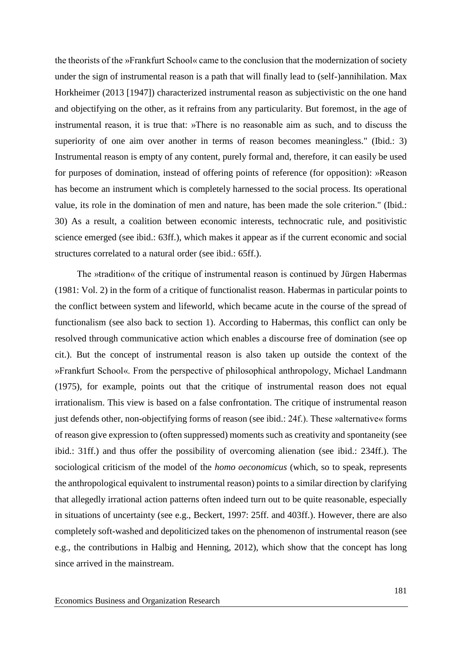the theorists of the »Frankfurt School« came to the conclusion that the modernization of society under the sign of instrumental reason is a path that will finally lead to (self-)annihilation. Max Horkheimer (2013 [1947]) characterized instrumental reason as subjectivistic on the one hand and objectifying on the other, as it refrains from any particularity. But foremost, in the age of instrumental reason, it is true that: »There is no reasonable aim as such, and to discuss the superiority of one aim over another in terms of reason becomes meaningless." (Ibid.: 3) Instrumental reason is empty of any content, purely formal and, therefore, it can easily be used for purposes of domination, instead of offering points of reference (for opposition): »Reason has become an instrument which is completely harnessed to the social process. Its operational value, its role in the domination of men and nature, has been made the sole criterion." (Ibid.: 30) As a result, a coalition between economic interests, technocratic rule, and positivistic science emerged (see ibid.: 63ff.), which makes it appear as if the current economic and social structures correlated to a natural order (see ibid.: 65ff.).

The »tradition« of the critique of instrumental reason is continued by Jürgen Habermas (1981: Vol. 2) in the form of a critique of functionalist reason. Habermas in particular points to the conflict between system and lifeworld, which became acute in the course of the spread of functionalism (see also back to section 1). According to Habermas, this conflict can only be resolved through communicative action which enables a discourse free of domination (see op cit.). But the concept of instrumental reason is also taken up outside the context of the »Frankfurt School«. From the perspective of philosophical anthropology, Michael Landmann (1975), for example, points out that the critique of instrumental reason does not equal irrationalism. This view is based on a false confrontation. The critique of instrumental reason just defends other, non-objectifying forms of reason (see ibid.: 24f.). These »alternative« forms of reason give expression to (often suppressed) moments such as creativity and spontaneity (see ibid.: 31ff.) and thus offer the possibility of overcoming alienation (see ibid.: 234ff.). The sociological criticism of the model of the *homo oeconomicus* (which, so to speak, represents the anthropological equivalent to instrumental reason) points to a similar direction by clarifying that allegedly irrational action patterns often indeed turn out to be quite reasonable, especially in situations of uncertainty (see e.g., Beckert, 1997: 25ff. and 403ff.). However, there are also completely soft-washed and depoliticized takes on the phenomenon of instrumental reason (see e.g., the contributions in Halbig and Henning, 2012), which show that the concept has long since arrived in the mainstream.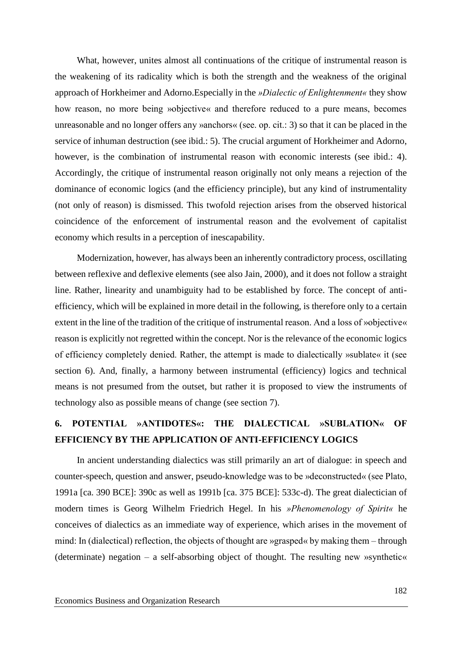What, however, unites almost all continuations of the critique of instrumental reason is the weakening of its radicality which is both the strength and the weakness of the original approach of Horkheimer and Adorno.Especially in the *»Dialectic of Enlightenment«* they show how reason, no more being »objective« and therefore reduced to a pure means, becomes unreasonable and no longer offers any »anchors« (see. op. cit.: 3) so that it can be placed in the service of inhuman destruction (see ibid.: 5). The crucial argument of Horkheimer and Adorno, however, is the combination of instrumental reason with economic interests (see ibid.: 4). Accordingly, the critique of instrumental reason originally not only means a rejection of the dominance of economic logics (and the efficiency principle), but any kind of instrumentality (not only of reason) is dismissed. This twofold rejection arises from the observed historical coincidence of the enforcement of instrumental reason and the evolvement of capitalist economy which results in a perception of inescapability.

Modernization, however, has always been an inherently contradictory process, oscillating between reflexive and deflexive elements (see also Jain, 2000), and it does not follow a straight line. Rather, linearity and unambiguity had to be established by force. The concept of antiefficiency, which will be explained in more detail in the following, is therefore only to a certain extent in the line of the tradition of the critique of instrumental reason. And a loss of »objective« reason is explicitly not regretted within the concept. Nor is the relevance of the economic logics of efficiency completely denied. Rather, the attempt is made to dialectically »sublate« it (see section 6). And, finally, a harmony between instrumental (efficiency) logics and technical means is not presumed from the outset, but rather it is proposed to view the instruments of technology also as possible means of change (see section 7).

## **6. POTENTIAL »ANTIDOTES«: THE DIALECTICAL »SUBLATION« OF EFFICIENCY BY THE APPLICATION OF ANTI-EFFICIENCY LOGICS**

In ancient understanding dialectics was still primarily an art of dialogue: in speech and counter-speech, question and answer, pseudo-knowledge was to be »deconstructed« (see Plato, 1991a [ca. 390 BCE]: 390c as well as 1991b [ca. 375 BCE]: 533c-d). The great dialectician of modern times is Georg Wilhelm Friedrich Hegel. In his *»Phenomenology of Spirit«* he conceives of dialectics as an immediate way of experience, which arises in the movement of mind: In (dialectical) reflection, the objects of thought are »grasped« by making them – through (determinate) negation – a self-absorbing object of thought. The resulting new »synthetic«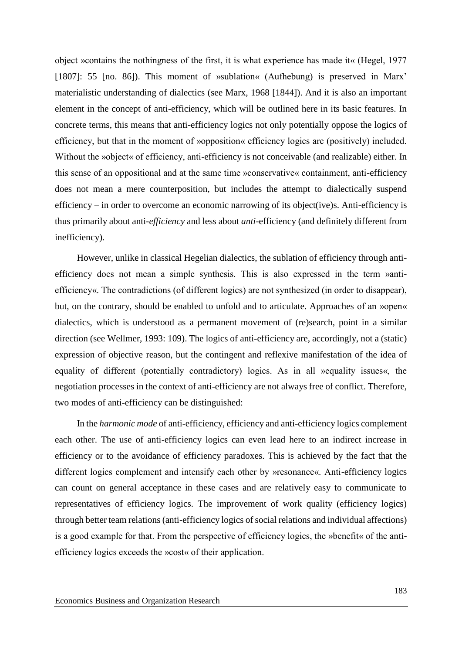object »contains the nothingness of the first, it is what experience has made it« (Hegel, 1977 [1807]: 55 [no. 86]). This moment of »sublation« (Aufhebung) is preserved in Marx' materialistic understanding of dialectics (see Marx, 1968 [1844]). And it is also an important element in the concept of anti-efficiency, which will be outlined here in its basic features. In concrete terms, this means that anti-efficiency logics not only potentially oppose the logics of efficiency, but that in the moment of »opposition« efficiency logics are (positively) included. Without the »object« of efficiency, anti-efficiency is not conceivable (and realizable) either. In this sense of an oppositional and at the same time »conservative« containment, anti-efficiency does not mean a mere counterposition, but includes the attempt to dialectically suspend efficiency – in order to overcome an economic narrowing of its object(ive)s. Anti-efficiency is thus primarily about anti-*efficiency* and less about *anti*-efficiency (and definitely different from inefficiency).

However, unlike in classical Hegelian dialectics, the sublation of efficiency through antiefficiency does not mean a simple synthesis. This is also expressed in the term »antiefficiency«. The contradictions (of different logics) are not synthesized (in order to disappear), but, on the contrary, should be enabled to unfold and to articulate. Approaches of an »open« dialectics, which is understood as a permanent movement of (re)search, point in a similar direction (see Wellmer, 1993: 109). The logics of anti-efficiency are, accordingly, not a (static) expression of objective reason, but the contingent and reflexive manifestation of the idea of equality of different (potentially contradictory) logics. As in all »equality issues«, the negotiation processes in the context of anti-efficiency are not always free of conflict. Therefore, two modes of anti-efficiency can be distinguished:

In the *harmonic mode* of anti-efficiency, efficiency and anti-efficiency logics complement each other. The use of anti-efficiency logics can even lead here to an indirect increase in efficiency or to the avoidance of efficiency paradoxes. This is achieved by the fact that the different logics complement and intensify each other by »resonance«. Anti-efficiency logics can count on general acceptance in these cases and are relatively easy to communicate to representatives of efficiency logics. The improvement of work quality (efficiency logics) through better team relations (anti-efficiency logics of social relations and individual affections) is a good example for that. From the perspective of efficiency logics, the »benefit« of the antiefficiency logics exceeds the »cost« of their application.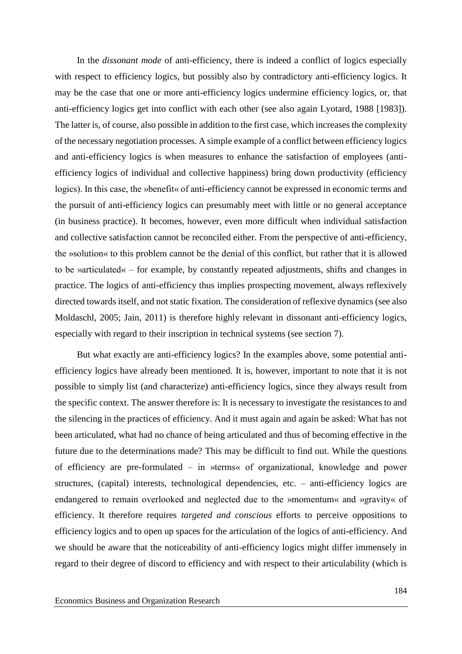In the *dissonant mode* of anti-efficiency, there is indeed a conflict of logics especially with respect to efficiency logics, but possibly also by contradictory anti-efficiency logics. It may be the case that one or more anti-efficiency logics undermine efficiency logics, or, that anti-efficiency logics get into conflict with each other (see also again Lyotard, 1988 [1983]). The latter is, of course, also possible in addition to the first case, which increases the complexity of the necessary negotiation processes. A simple example of a conflict between efficiency logics and anti-efficiency logics is when measures to enhance the satisfaction of employees (antiefficiency logics of individual and collective happiness) bring down productivity (efficiency logics). In this case, the »benefit« of anti-efficiency cannot be expressed in economic terms and the pursuit of anti-efficiency logics can presumably meet with little or no general acceptance (in business practice). It becomes, however, even more difficult when individual satisfaction and collective satisfaction cannot be reconciled either. From the perspective of anti-efficiency, the »solution« to this problem cannot be the denial of this conflict, but rather that it is allowed to be »articulated« – for example, by constantly repeated adjustments, shifts and changes in practice. The logics of anti-efficiency thus implies prospecting movement, always reflexively directed towards itself, and not static fixation. The consideration of reflexive dynamics (see also Moldaschl, 2005; Jain, 2011) is therefore highly relevant in dissonant anti-efficiency logics, especially with regard to their inscription in technical systems (see section 7).

But what exactly are anti-efficiency logics? In the examples above, some potential antiefficiency logics have already been mentioned. It is, however, important to note that it is not possible to simply list (and characterize) anti-efficiency logics, since they always result from the specific context. The answer therefore is: It is necessary to investigate the resistances to and the silencing in the practices of efficiency. And it must again and again be asked: What has not been articulated, what had no chance of being articulated and thus of becoming effective in the future due to the determinations made? This may be difficult to find out. While the questions of efficiency are pre-formulated – in »terms« of organizational, knowledge and power structures, (capital) interests, technological dependencies, etc. – anti-efficiency logics are endangered to remain overlooked and neglected due to the »momentum« and »gravity« of efficiency. It therefore requires *targeted and conscious* efforts to perceive oppositions to efficiency logics and to open up spaces for the articulation of the logics of anti-efficiency. And we should be aware that the noticeability of anti-efficiency logics might differ immensely in regard to their degree of discord to efficiency and with respect to their articulability (which is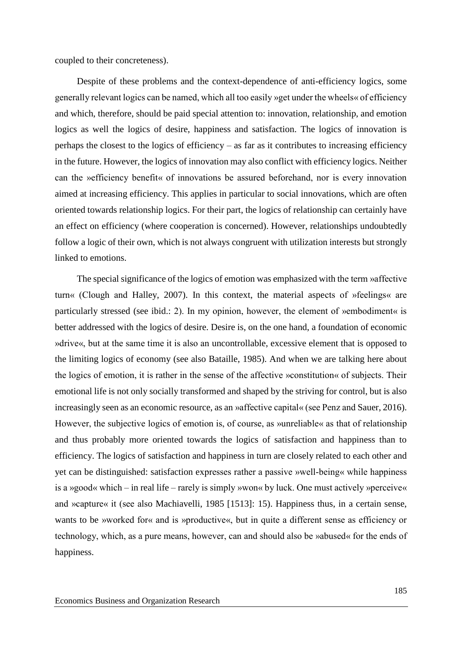coupled to their concreteness).

Despite of these problems and the context-dependence of anti-efficiency logics, some generally relevant logics can be named, which all too easily »get under the wheels« of efficiency and which, therefore, should be paid special attention to: innovation, relationship, and emotion logics as well the logics of desire, happiness and satisfaction. The logics of innovation is perhaps the closest to the logics of efficiency – as far as it contributes to increasing efficiency in the future. However, the logics of innovation may also conflict with efficiency logics. Neither can the »efficiency benefit« of innovations be assured beforehand, nor is every innovation aimed at increasing efficiency. This applies in particular to social innovations, which are often oriented towards relationship logics. For their part, the logics of relationship can certainly have an effect on efficiency (where cooperation is concerned). However, relationships undoubtedly follow a logic of their own, which is not always congruent with utilization interests but strongly linked to emotions.

The special significance of the logics of emotion was emphasized with the term »affective turn« (Clough and Halley, 2007). In this context, the material aspects of »feelings« are particularly stressed (see ibid.: 2). In my opinion, however, the element of »embodiment« is better addressed with the logics of desire. Desire is, on the one hand, a foundation of economic »drive«, but at the same time it is also an uncontrollable, excessive element that is opposed to the limiting logics of economy (see also Bataille, 1985). And when we are talking here about the logics of emotion, it is rather in the sense of the affective »constitution« of subjects. Their emotional life is not only socially transformed and shaped by the striving for control, but is also increasingly seen as an economic resource, as an »affective capital« (see Penz and Sauer, 2016). However, the subjective logics of emotion is, of course, as »unreliable« as that of relationship and thus probably more oriented towards the logics of satisfaction and happiness than to efficiency. The logics of satisfaction and happiness in turn are closely related to each other and yet can be distinguished: satisfaction expresses rather a passive »well-being« while happiness is a »good« which – in real life – rarely is simply »won« by luck. One must actively »perceive« and »capture« it (see also Machiavelli, 1985 [1513]: 15). Happiness thus, in a certain sense, wants to be »worked for« and is »productive«, but in quite a different sense as efficiency or technology, which, as a pure means, however, can and should also be »abused« for the ends of happiness.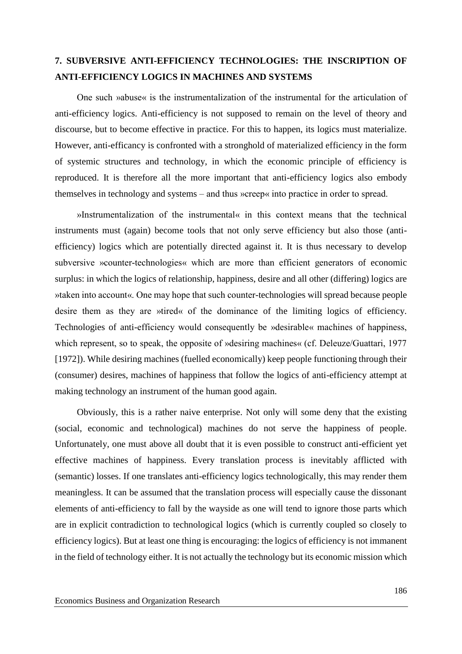## **7. SUBVERSIVE ANTI-EFFICIENCY TECHNOLOGIES: THE INSCRIPTION OF ANTI-EFFICIENCY LOGICS IN MACHINES AND SYSTEMS**

One such »abuse« is the instrumentalization of the instrumental for the articulation of anti-efficiency logics. Anti-efficiency is not supposed to remain on the level of theory and discourse, but to become effective in practice. For this to happen, its logics must materialize. However, anti-efficancy is confronted with a stronghold of materialized efficiency in the form of systemic structures and technology, in which the economic principle of efficiency is reproduced. It is therefore all the more important that anti-efficiency logics also embody themselves in technology and systems – and thus »creep« into practice in order to spread.

»Instrumentalization of the instrumental« in this context means that the technical instruments must (again) become tools that not only serve efficiency but also those (antiefficiency) logics which are potentially directed against it. It is thus necessary to develop subversive »counter-technologies« which are more than efficient generators of economic surplus: in which the logics of relationship, happiness, desire and all other (differing) logics are »taken into account«. One may hope that such counter-technologies will spread because people desire them as they are »tired« of the dominance of the limiting logics of efficiency. Technologies of anti-efficiency would consequently be »desirable« machines of happiness, which represent, so to speak, the opposite of »desiring machines« (cf. Deleuze/Guattari, 1977 [1972]). While desiring machines (fuelled economically) keep people functioning through their (consumer) desires, machines of happiness that follow the logics of anti-efficiency attempt at making technology an instrument of the human good again.

Obviously, this is a rather naive enterprise. Not only will some deny that the existing (social, economic and technological) machines do not serve the happiness of people. Unfortunately, one must above all doubt that it is even possible to construct anti-efficient yet effective machines of happiness. Every translation process is inevitably afflicted with (semantic) losses. If one translates anti-efficiency logics technologically, this may render them meaningless. It can be assumed that the translation process will especially cause the dissonant elements of anti-efficiency to fall by the wayside as one will tend to ignore those parts which are in explicit contradiction to technological logics (which is currently coupled so closely to efficiency logics). But at least one thing is encouraging: the logics of efficiency is not immanent in the field of technology either. It is not actually the technology but its economic mission which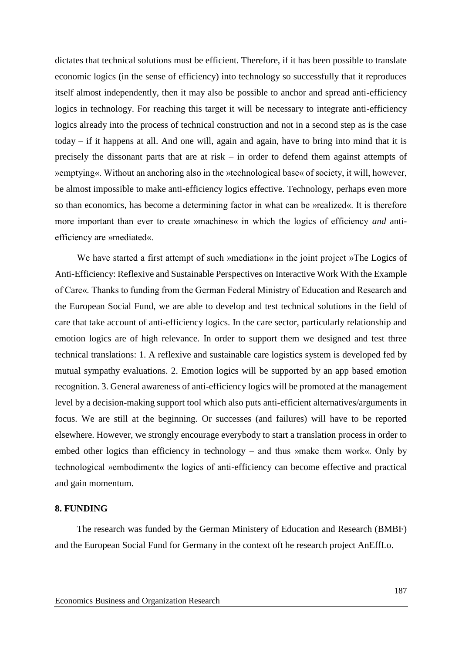dictates that technical solutions must be efficient. Therefore, if it has been possible to translate economic logics (in the sense of efficiency) into technology so successfully that it reproduces itself almost independently, then it may also be possible to anchor and spread anti-efficiency logics in technology. For reaching this target it will be necessary to integrate anti-efficiency logics already into the process of technical construction and not in a second step as is the case today – if it happens at all. And one will, again and again, have to bring into mind that it is precisely the dissonant parts that are at risk – in order to defend them against attempts of »emptying«. Without an anchoring also in the »technological base« of society, it will, however, be almost impossible to make anti-efficiency logics effective. Technology, perhaps even more so than economics, has become a determining factor in what can be »realized«. It is therefore more important than ever to create »machines« in which the logics of efficiency *and* antiefficiency are »mediated«.

We have started a first attempt of such »mediation« in the joint project »The Logics of Anti-Efficiency: Reflexive and Sustainable Perspectives on Interactive Work With the Example of Care«. Thanks to funding from the German Federal Ministry of Education and Research and the European Social Fund, we are able to develop and test technical solutions in the field of care that take account of anti-efficiency logics. In the care sector, particularly relationship and emotion logics are of high relevance. In order to support them we designed and test three technical translations: 1. A reflexive and sustainable care logistics system is developed fed by mutual sympathy evaluations. 2. Emotion logics will be supported by an app based emotion recognition. 3. General awareness of anti-efficiency logics will be promoted at the management level by a decision-making support tool which also puts anti-efficient alternatives/arguments in focus. We are still at the beginning. Or successes (and failures) will have to be reported elsewhere. However, we strongly encourage everybody to start a translation process in order to embed other logics than efficiency in technology – and thus »make them work«. Only by technological »embodiment« the logics of anti-efficiency can become effective and practical and gain momentum.

#### **8. FUNDING**

The research was funded by the German Ministery of Education and Research (BMBF) and the European Social Fund for Germany in the context oft he research project AnEffLo.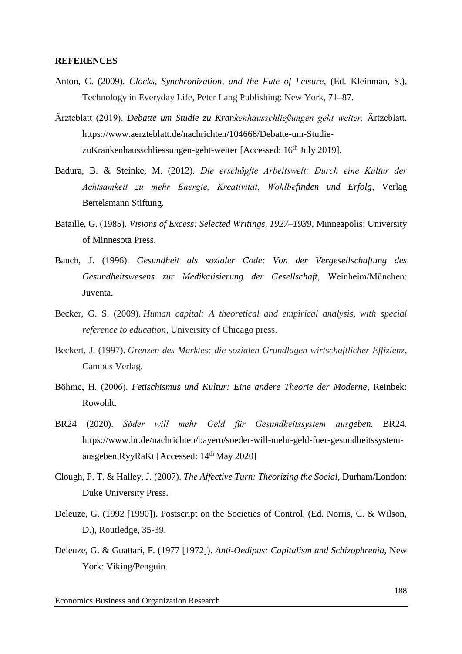#### **REFERENCES**

- Anton, C. (2009). *Clocks, Synchronization, and the Fate of Leisure,* (Ed. Kleinman, S.), Technology in Everyday Life, Peter Lang Publishing: New York, 71–87.
- Ärzteblatt (2019). *Debatte um Studie zu Krankenhausschließungen geht weiter.* Ärtzeblatt. https://www.aerzteblatt.de/nachrichten/104668/Debatte-um-StudiezuKrankenhausschliessungen-geht-weiter [Accessed: 16<sup>th</sup> July 2019].
- Badura, B. & Steinke, M. (2012). *Die erschöpfte Arbeitswelt: Durch eine Kultur der Achtsamkeit zu mehr Energie, Kreativität, Wohlbefinden und Erfolg,* Verlag Bertelsmann Stiftung.
- Bataille, G. (1985). *Visions of Excess: Selected Writings, 1927–1939,* Minneapolis: University of Minnesota Press.
- Bauch, J. (1996). *Gesundheit als sozialer Code: Von der Vergesellschaftung des Gesundheitswesens zur Medikalisierung der Gesellschaft,* Weinheim/München: Juventa.
- Becker, G. S. (2009). *Human capital: A theoretical and empirical analysis, with special reference to education,* University of Chicago press.
- Beckert, J. (1997). *Grenzen des Marktes: die sozialen Grundlagen wirtschaftlicher Effizienz,* Campus Verlag.
- Böhme, H. (2006). *Fetischismus und Kultur: Eine andere Theorie der Moderne,* Reinbek: Rowohlt.
- BR24 (2020). *Söder will mehr Geld für Gesundheitssystem ausgeben.* BR24. https://www.br.de/nachrichten/bayern/soeder-will-mehr-geld-fuer-gesundheitssystemausgeben, RyyRaKt [Accessed:  $14<sup>th</sup>$  May 2020]
- Clough, P. T. & Halley, J. (2007). *The Affective Turn: Theorizing the Social,* Durham/London: Duke University Press.
- Deleuze, G. (1992 [1990]). Postscript on the Societies of Control, (Ed. Norris, C. & Wilson, D.), Routledge, 35-39.
- Deleuze, G. & Guattari, F. (1977 [1972]). *Anti-Oedipus: Capitalism and Schizophrenia,* New York: Viking/Penguin.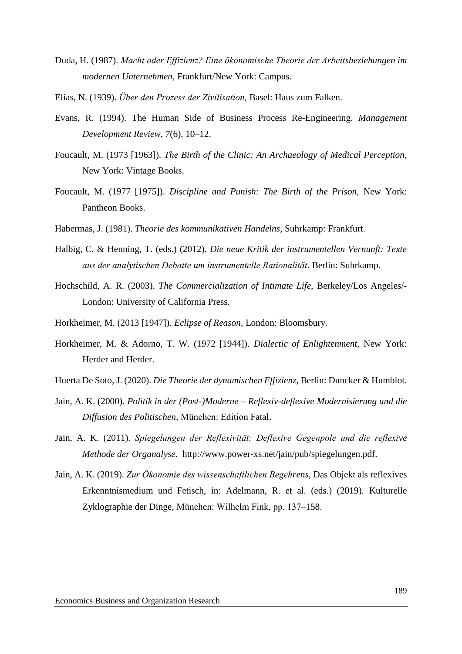- Duda, H. (1987). *Macht oder Effizienz? Eine ökonomische Theorie der Arbeitsbeziehungen im modernen Unternehmen,* Frankfurt/New York: Campus.
- Elias, N. (1939). *Über den Prozess der Zivilisation,* Basel: Haus zum Falken.
- Evans, R. (1994). The Human Side of Business Process Re-Engineering. *Management Development Review, 7*(6), 10–12.
- Foucault, M. (1973 [1963]). *The Birth of the Clinic: An Archaeology of Medical Perception,* New York: Vintage Books.
- Foucault, M. (1977 [1975]). *Discipline and Punish: The Birth of the Prison,* New York: Pantheon Books.
- Habermas, J. (1981). *Theorie des kommunikativen Handelns,* Suhrkamp: Frankfurt.
- Halbig, C. & Henning, T. (eds.) (2012). *Die neue Kritik der instrumentellen Vernunft: Texte aus der analytischen Debatte um instrumentelle Rationalität.* Berlin: Suhrkamp.
- Hochschild, A. R. (2003). *The Commercialization of Intimate Life,* Berkeley/Los Angeles/- London: University of California Press.
- Horkheimer, M. (2013 [1947]). *Eclipse of Reason,* London: Bloomsbury.
- Horkheimer, M. & Adorno, T. W. (1972 [1944]). *Dialectic of Enlightenment,* New York: Herder and Herder.
- Huerta De Soto, J. (2020). *Die Theorie der dynamischen Effizienz,* Berlin: Duncker & Humblot.
- Jain, A. K. (2000). *Politik in der (Post-)Moderne – Reflexiv-deflexive Modernisierung und die Diffusion des Politischen,* München: Edition Fatal.
- Jain, A. K. (2011). *Spiegelungen der Reflexivität: Deflexive Gegenpole und die reflexive Methode der Organalyse.* http://www.power-xs.net/jain/pub/spiegelungen.pdf.
- Jain, A. K. (2019). *Zur Ökonomie des wissenschaftlichen Begehrens,* Das Objekt als reflexives Erkenntnismedium und Fetisch, in: Adelmann, R. et al. (eds.) (2019). Kulturelle Zyklographie der Dinge, München: Wilhelm Fink, pp. 137–158.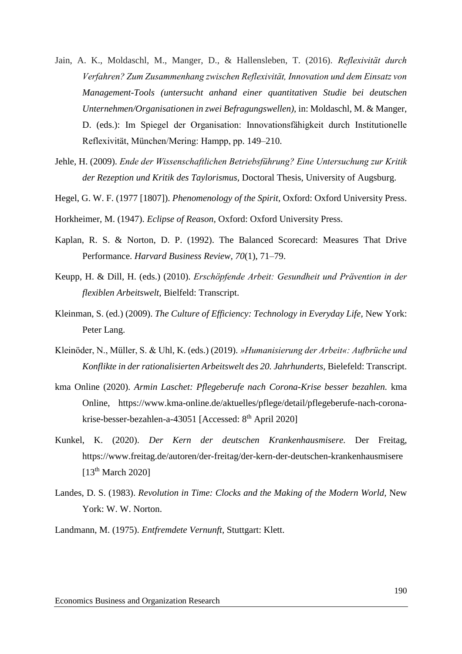- Jain, A. K., Moldaschl, M., Manger, D., & Hallensleben, T. (2016). *Reflexivität durch Verfahren? Zum Zusammenhang zwischen Reflexivität, Innovation und dem Einsatz von Management-Tools (untersucht anhand einer quantitativen Studie bei deutschen Unternehmen/Organisationen in zwei Befragungswellen),* in: Moldaschl, M. & Manger, D. (eds.): Im Spiegel der Organisation: Innovationsfähigkeit durch Institutionelle Reflexivität, München/Mering: Hampp, pp. 149–210.
- Jehle, H. (2009). *Ende der Wissenschaftlichen Betriebsführung? Eine Untersuchung zur Kritik der Rezeption und Kritik des Taylorismus,* Doctoral Thesis, University of Augsburg.
- Hegel, G. W. F. (1977 [1807]). *Phenomenology of the Spirit,* Oxford: Oxford University Press.
- Horkheimer, M. (1947). *Eclipse of Reason,* Oxford: Oxford University Press.
- Kaplan, R. S. & Norton, D. P. (1992). The Balanced Scorecard: Measures That Drive Performance. *Harvard Business Review, 70*(1), 71–79.
- Keupp, H. & Dill, H. (eds.) (2010). *Erschöpfende Arbeit: Gesundheit und Prävention in der flexiblen Arbeitswelt,* Bielfeld: Transcript.
- Kleinman, S. (ed.) (2009). *The Culture of Efficiency: Technology in Everyday Life,* New York: Peter Lang.
- Kleinöder, N., Müller, S. & Uhl, K. (eds.) (2019). *»Humanisierung der Arbeit«: Aufbrüche und Konflikte in der rationalisierten Arbeitswelt des 20. Jahrhunderts,* Bielefeld: Transcript.
- kma Online (2020). *Armin Laschet: Pflegeberufe nach Corona-Krise besser bezahlen.* kma Online, https://www.kma-online.de/aktuelles/pflege/detail/pflegeberufe-nach-coronakrise-besser-bezahlen-a-43051 [Accessed:  $8<sup>th</sup>$  April 2020]
- Kunkel, K. (2020). *Der Kern der deutschen Krankenhausmisere.* Der Freitag, https://www.freitag.de/autoren/der-freitag/der-kern-der-deutschen-krankenhausmisere  $[13<sup>th</sup> March 2020]$
- Landes, D. S. (1983). *Revolution in Time: Clocks and the Making of the Modern World,* New York: W. W. Norton.
- Landmann, M. (1975). *Entfremdete Vernunft,* Stuttgart: Klett.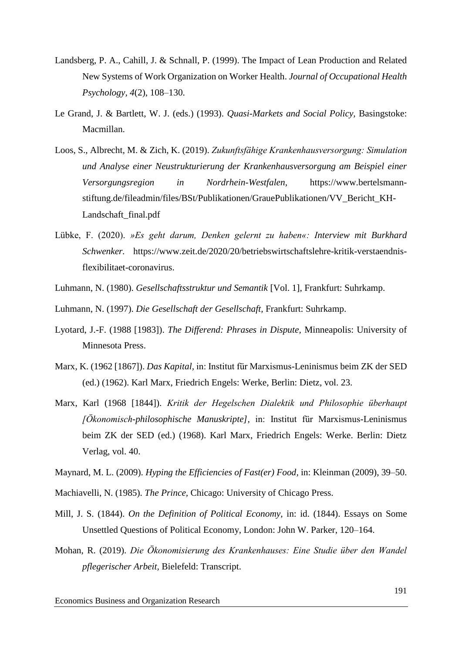- Landsberg, P. A., Cahill, J. & Schnall, P. (1999). The Impact of Lean Production and Related New Systems of Work Organization on Worker Health. *Journal of Occupational Health Psychology, 4*(2), 108–130.
- Le Grand, J. & Bartlett, W. J. (eds.) (1993). *Quasi-Markets and Social Policy,* Basingstoke: Macmillan.
- Loos, S., Albrecht, M. & Zich, K. (2019). *Zukunftsfähige Krankenhausversorgung: Simulation und Analyse einer Neustrukturierung der Krankenhausversorgung am Beispiel einer Versorgungsregion in Nordrhein-Westfalen,* https://www.bertelsmannstiftung.de/fileadmin/files/BSt/Publikationen/GrauePublikationen/VV\_Bericht\_KH-Landschaft\_final.pdf
- Lübke, F. (2020). *»Es geht darum, Denken gelernt zu haben«: Interview mit Burkhard Schwenker.* https://www.zeit.de/2020/20/betriebswirtschaftslehre-kritik-verstaendnisflexibilitaet-coronavirus.
- Luhmann, N. (1980). *Gesellschaftsstruktur und Semantik* [Vol. 1], Frankfurt: Suhrkamp.
- Luhmann, N. (1997). *Die Gesellschaft der Gesellschaft,* Frankfurt: Suhrkamp.
- Lyotard, J.-F. (1988 [1983]). *The Differend: Phrases in Dispute,* Minneapolis: University of Minnesota Press.
- Marx, K. (1962 [1867]). *Das Kapital,* in: Institut für Marxismus-Leninismus beim ZK der SED (ed.) (1962). Karl Marx, Friedrich Engels: Werke, Berlin: Dietz, vol. 23.
- Marx, Karl (1968 [1844]). *Kritik der Hegelschen Dialektik und Philosophie überhaupt [Ökonomisch-philosophische Manuskripte],* in: Institut für Marxismus-Leninismus beim ZK der SED (ed.) (1968). Karl Marx, Friedrich Engels: Werke. Berlin: Dietz Verlag, vol. 40.

Maynard, M. L. (2009). *Hyping the Efficiencies of Fast(er) Food,* in: Kleinman (2009), 39–50.

- Machiavelli, N. (1985). *The Prince,* Chicago: University of Chicago Press.
- Mill, J. S. (1844). *On the Definition of Political Economy,* in: id. (1844). Essays on Some Unsettled Questions of Political Economy, London: John W. Parker, 120–164.
- Mohan, R. (2019). *Die Ökonomisierung des Krankenhauses: Eine Studie über den Wandel pflegerischer Arbeit,* Bielefeld: Transcript.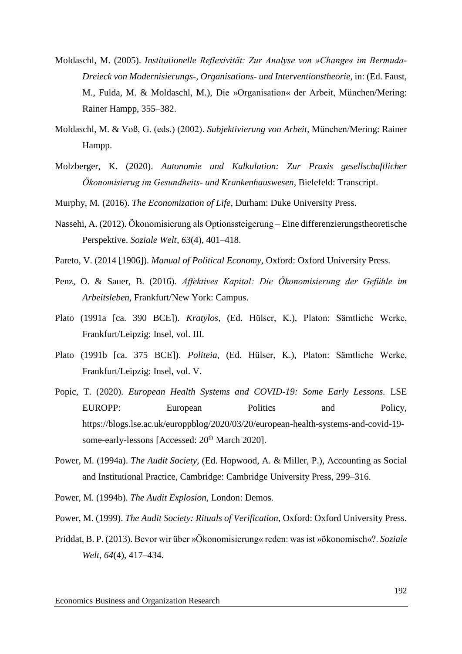- Moldaschl, M. (2005). *Institutionelle Reflexivität: Zur Analyse von »Change« im Bermuda-Dreieck von Modernisierungs-, Organisations- und Interventionstheorie,* in: (Ed. Faust, M., Fulda, M. & Moldaschl, M.), Die »Organisation« der Arbeit, München/Mering: Rainer Hampp, 355–382.
- Moldaschl, M. & Voß, G. (eds.) (2002). *Subjektivierung von Arbeit,* München/Mering: Rainer Hampp.
- Molzberger, K. (2020). *Autonomie und Kalkulation: Zur Praxis gesellschaftlicher Ökonomisierug im Gesundheits- und Krankenhauswesen,* Bielefeld: Transcript.
- Murphy, M. (2016). *The Economization of Life,* Durham: Duke University Press.
- Nassehi, A. (2012). Ökonomisierung als Optionssteigerung Eine differenzierungstheoretische Perspektive. *Soziale Welt, 63*(4), 401–418.
- Pareto, V. (2014 [1906]). *Manual of Political Economy,* Oxford: Oxford University Press.
- Penz, O. & Sauer, B. (2016). *Affektives Kapital: Die Ökonomisierung der Gefühle im Arbeitsleben,* Frankfurt/New York: Campus.
- Plato (1991a [ca. 390 BCE]). *Kratylos,* (Ed. Hülser, K.), Platon: Sämtliche Werke, Frankfurt/Leipzig: Insel, vol. III.
- Plato (1991b [ca. 375 BCE]). *Politeia,* (Ed. Hülser, K.), Platon: Sämtliche Werke, Frankfurt/Leipzig: Insel, vol. V.
- Popic, T. (2020). *European Health Systems and COVID-19: Some Early Lessons.* LSE EUROPP: European Politics and Policy, https://blogs.lse.ac.uk/europpblog/2020/03/20/european-health-systems-and-covid-19 some-early-lessons [Accessed: 20<sup>th</sup> March 2020].
- Power, M. (1994a). *The Audit Society,* (Ed. Hopwood, A. & Miller, P.), Accounting as Social and Institutional Practice, Cambridge: Cambridge University Press, 299–316.
- Power, M. (1994b). *The Audit Explosion,* London: Demos.
- Power, M. (1999). *The Audit Society: Rituals of Verification,* Oxford: Oxford University Press.
- Priddat, B. P. (2013). Bevor wir über »Ökonomisierung« reden: was ist »ökonomisch«?. *Soziale Welt, 64*(4), 417–434.